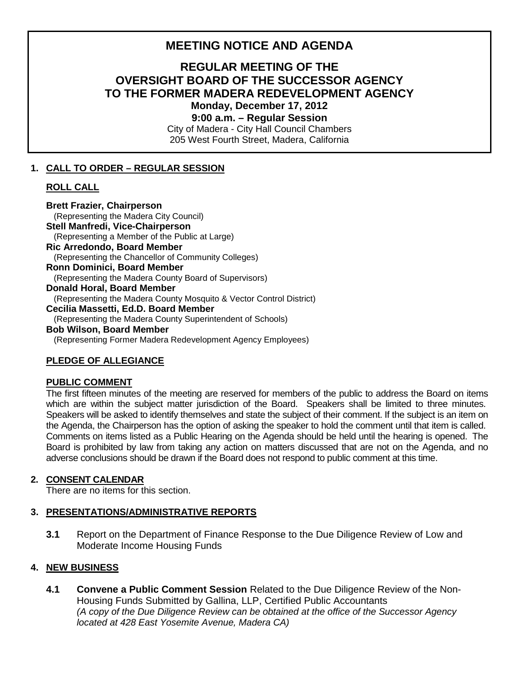# **MEETING NOTICE AND AGENDA**

# **REGULAR MEETING OF THE OVERSIGHT BOARD OF THE SUCCESSOR AGENCY TO THE FORMER MADERA REDEVELOPMENT AGENCY Monday, December 17, 2012**

**9:00 a.m. – Regular Session**

City of Madera - City Hall Council Chambers 205 West Fourth Street, Madera, California

#### **1. CALL TO ORDER – REGULAR SESSION**

### **ROLL CALL**

**Brett Frazier, Chairperson**  (Representing the Madera City Council) **Stell Manfredi, Vice-Chairperson** (Representing a Member of the Public at Large) **Ric Arredondo, Board Member** (Representing the Chancellor of Community Colleges) **Ronn Dominici, Board Member** (Representing the Madera County Board of Supervisors) **Donald Horal, Board Member** (Representing the Madera County Mosquito & Vector Control District) **Cecilia Massetti, Ed.D. Board Member** (Representing the Madera County Superintendent of Schools) **Bob Wilson, Board Member**  (Representing Former Madera Redevelopment Agency Employees)

## **PLEDGE OF ALLEGIANCE**

#### **PUBLIC COMMENT**

The first fifteen minutes of the meeting are reserved for members of the public to address the Board on items which are within the subject matter jurisdiction of the Board. Speakers shall be limited to three minutes. Speakers will be asked to identify themselves and state the subject of their comment. If the subject is an item on the Agenda, the Chairperson has the option of asking the speaker to hold the comment until that item is called. Comments on items listed as a Public Hearing on the Agenda should be held until the hearing is opened. The Board is prohibited by law from taking any action on matters discussed that are not on the Agenda, and no adverse conclusions should be drawn if the Board does not respond to public comment at this time.

#### **2. CONSENT CALENDAR**

There are no items for this section.

#### **3. PRESENTATIONS/ADMINISTRATIVE REPORTS**

**3.1** Report on the Department of Finance Response to the Due Diligence Review of Low and Moderate Income Housing Funds

#### **4. NEW BUSINESS**

**4.1 Convene a Public Comment Session** Related to the Due Diligence Review of the Non-Housing Funds Submitted by Gallina, LLP, Certified Public Accountants *(A copy of the Due Diligence Review can be obtained at the office of the Successor Agency located at 428 East Yosemite Avenue, Madera CA)*